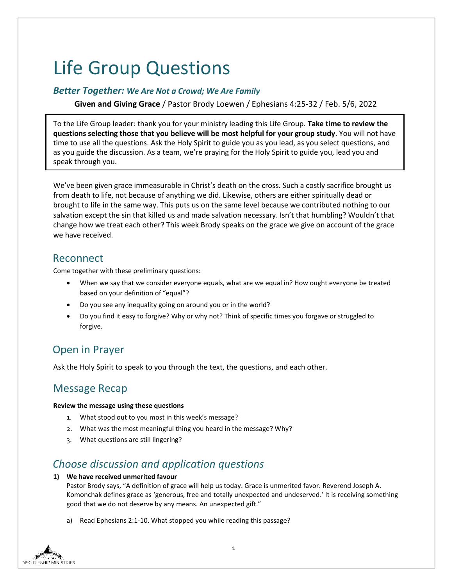# Life Group Questions

### *Better Together: We Are Not a Crowd; We Are Family*

**Given and Giving Grace** / Pastor Brody Loewen / Ephesians 4:25-32 / Feb. 5/6, 2022

To the Life Group leader: thank you for your ministry leading this Life Group. **Take time to review the questions selecting those that you believe will be most helpful for your group study**. You will not have time to use all the questions. Ask the Holy Spirit to guide you as you lead, as you select questions, and as you guide the discussion. As a team, we're praying for the Holy Spirit to guide you, lead you and speak through you.

We've been given grace immeasurable in Christ's death on the cross. Such a costly sacrifice brought us from death to life, not because of anything we did. Likewise, others are either spiritually dead or brought to life in the same way. This puts us on the same level because we contributed nothing to our salvation except the sin that killed us and made salvation necessary. Isn't that humbling? Wouldn't that change how we treat each other? This week Brody speaks on the grace we give on account of the grace we have received.

### Reconnect

Come together with these preliminary questions:

- When we say that we consider everyone equals, what are we equal in? How ought everyone be treated based on your definition of "equal"?
- Do you see any inequality going on around you or in the world?
- Do you find it easy to forgive? Why or why not? Think of specific times you forgave or struggled to forgive.

# Open in Prayer

Ask the Holy Spirit to speak to you through the text, the questions, and each other.

# Message Recap

### **Review the message using these questions**

- 1. What stood out to you most in this week's message?
- 2. What was the most meaningful thing you heard in the message? Why?
- 3. What questions are still lingering?

### *Choose discussion and application questions*

**1) We have received unmerited favour**

Pastor Brody says, "A definition of grace will help us today. Grace is unmerited favor. Reverend Joseph A. Komonchak defines grace as 'generous, free and totally unexpected and undeserved.' It is receiving something good that we do not deserve by any means. An unexpected gift."

a) Read Ephesians 2:1-10. What stopped you while reading this passage?

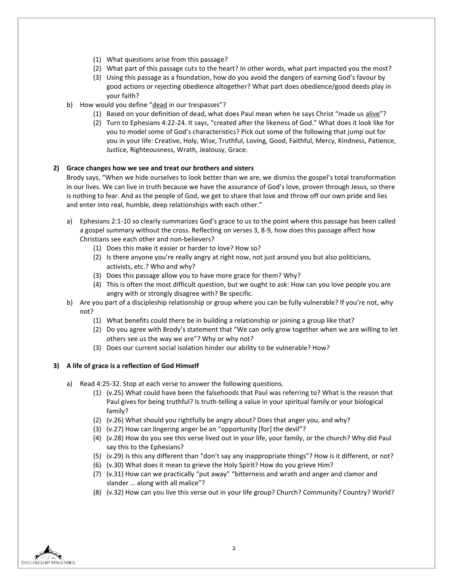- (1) What questions arise from this passage?
- (2) What part of this passage cuts to the heart? In other words, what part impacted you the most?
- (3) Using this passage as a foundation, how do you avoid the dangers of earning God's favour by good actions or rejecting obedience altogether? What part does obedience/good deeds play in your faith?
- b) How would you define "dead in our trespasses"?
	- (1) Based on your definition of dead, what does Paul mean when he says Christ "made us alive"?
	- (2) Turn to Ephesians 4:22-24. It says, "created after the likeness of God." What does it look like for you to model some of God's characteristics? Pick out some of the following that jump out for you in your life: Creative, Holy, Wise, Truthful, Loving, Good, Faithful, Mercy, Kindness, Patience, Justice, Righteousness, Wrath, Jealousy, Grace.

#### **2) Grace changes how we see and treat our brothers and sisters**

Brody says, "When we hide ourselves to look better than we are, we dismiss the gospel's total transformation in our lives. We can live in truth because we have the assurance of God's love, proven through Jesus, so there is nothing to fear. And as the people of God, we get to share that love and throw off our own pride and lies and enter into real, humble, deep relationships with each other."

- a) Ephesians 2:1-10 so clearly summarizes God's grace to us to the point where this passage has been called a gospel summary without the cross. Reflecting on verses 3, 8-9, how does this passage affect how Christians see each other and non-believers?
	- (1) Does this make it easier or harder to love? How so?
	- (2) Is there anyone you're really angry at right now, not just around you but also politicians, activists, etc.? Who and why?
	- (3) Does this passage allow you to have more grace for them? Why?
	- (4) This is often the most difficult question, but we ought to ask: How can you love people you are angry with or strongly disagree with? Be specific.
- b) Are you part of a discipleship relationship or group where you can be fully vulnerable? If you're not, why not?
	- (1) What benefits could there be in building a relationship or joining a group like that?
	- (2) Do you agree with Brody's statement that "We can only grow together when we are willing to let others see us the way we are"? Why or why not?
	- (3) Does our current social isolation hinder our ability to be vulnerable? How?

### **3) A life of grace is a reflection of God Himself**

- a) Read 4:25-32. Stop at each verse to answer the following questions.
	- (1) (v.25) What could have been the falsehoods that Paul was referring to? What is the reason that Paul gives for being truthful? Is truth-telling a value in your spiritual family or your biological family?
	- (2) (v.26) What should you rightfully be angry about? Does that anger you, and why?
	- (3) (v.27) How can lingering anger be an "opportunity [for] the devil"?
	- (4) (v.28) How do you see this verse lived out in your life, your family, or the church? Why did Paul say this to the Ephesians?
	- (5) (v.29) Is this any different than "don't say any inappropriate things"? How is it different, or not?
	- (6) (v.30) What does it mean to grieve the Holy Spirit? How do you grieve Him?
	- (7) (v.31) How can we practically "put away" "bitterness and wrath and anger and clamor and slander … along with all malice"?
	- (8) (v.32) How can you live this verse out in your life group? Church? Community? Country? World?

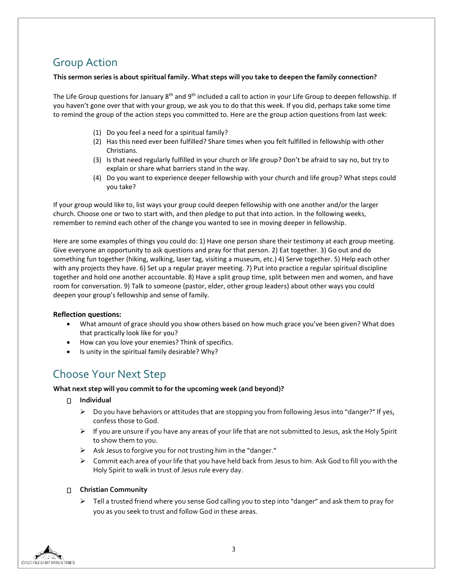# Group Action

### **This sermon series is about spiritual family. What steps will you take to deepen the family connection?**

The Life Group questions for January 8<sup>th</sup> and 9<sup>th</sup> included a call to action in your Life Group to deepen fellowship. If you haven't gone over that with your group, we ask you to do that this week. If you did, perhaps take some time to remind the group of the action steps you committed to. Here are the group action questions from last week:

- (1) Do you feel a need for a spiritual family?
- (2) Has this need ever been fulfilled? Share times when you felt fulfilled in fellowship with other Christians.
- (3) Is that need regularly fulfilled in your church or life group? Don't be afraid to say no, but try to explain or share what barriers stand in the way.
- (4) Do you want to experience deeper fellowship with your church and life group? What steps could you take?

If your group would like to, list ways your group could deepen fellowship with one another and/or the larger church. Choose one or two to start with, and then pledge to put that into action. In the following weeks, remember to remind each other of the change you wanted to see in moving deeper in fellowship.

Here are some examples of things you could do: 1) Have one person share their testimony at each group meeting. Give everyone an opportunity to ask questions and pray for that person. 2) Eat together. 3) Go out and do something fun together (hiking, walking, laser tag, visiting a museum, etc.) 4) Serve together. 5) Help each other with any projects they have. 6) Set up a regular prayer meeting. 7) Put into practice a regular spiritual discipline together and hold one another accountable. 8) Have a split group time, split between men and women, and have room for conversation. 9) Talk to someone (pastor, elder, other group leaders) about other ways you could deepen your group's fellowship and sense of family.

### **Reflection questions:**

- What amount of grace should you show others based on how much grace you've been given? What does that practically look like for you?
- How can you love your enemies? Think of specifics.
- $\bullet$  Is unity in the spiritual family desirable? Why?

# Choose Your Next Step

### **What next step will you commit to for the upcoming week (and beyond)?**

#### **Individual**

- $\triangleright$  Do you have behaviors or attitudes that are stopping you from following Jesus into "danger?" If yes, confess those to God.
- $\triangleright$  If you are unsure if you have any areas of your life that are not submitted to Jesus, ask the Holy Spirit to show them to you.
- $\triangleright$  Ask Jesus to forgive you for not trusting him in the "danger."
- $\triangleright$  Commit each area of your life that you have held back from Jesus to him. Ask God to fill you with the Holy Spirit to walk in trust of Jesus rule every day.

### **Christian Community**

 $\triangleright$  Tell a trusted friend where you sense God calling you to step into "danger" and ask them to pray for you as you seek to trust and follow God in these areas.